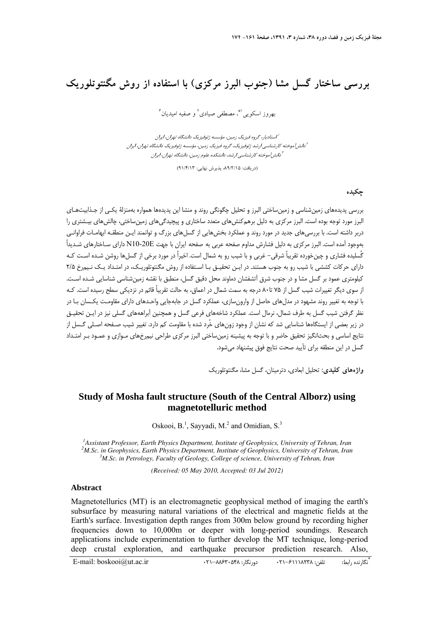## **بررسي ساختار گسل مشا (جنوب البرز مركزي) با استفاده از روش مگنتوتلوريك**

بهروز اسكويي<sup>'</sup>"، مصطفى صيادى<sup>٢</sup> و صفيه اميديان"

استاديار، گروه فيزيك زمين، مؤسسه ژئوفيزيك دانشگاه تهران، ايران <sup>1</sup> <sup>1</sup> دانش آموخته كارشناسي ارشد ژئوفيزيک، گروه فيزيک زمين، مؤسسه ژئوفيزيک دانشگاه تهران، ايران <sup>1</sup> دانش آموخته كارشناسي ارشد، دانشكده علوم زمين، دانشگاه تهران، ايران

(دريافت: ،89/2/15 پذيرش نهايي: 91/4/13)

**چكيده** 

بررسي پديده هاي زمين شناسي و زمينساختي البرز و تحليل چگونگي روند و منشا اين پديده ها همواره بهمنزلة يكـي از جـذابيتهـاي البرز مورد توجه بوده است. البرز مركزي به دليل برهمكنشهاي متعدد ساختاري و پيچيدگيهاي زمينساختي، چالشهاي بيـشتري را دربر داشته است. با بررسيهاي جديد در مورد روند و عملكرد بخش هايي از گسل هاي بزرگ و توانمند ايـن منطقـه ابهامـات فراوانـي بهوجود آمده است. البرز مركزي به دليل فشارش مداوم صفحه عربي به صفحه ايران با جهت E10-20N داراي سـاختارهاي شـديداً گُسليده فشاري و چينخورده تقريباً شرقي- غربي و با شيب رو به شمال است. اخيراً در مورد برخي از گسلها روشن شـده اسـت كـه داراي حركات كششي با شيب رو به جنوب هستند. در ايـن تحقيـق بـا اسـتفاده از روش مگنتوتلوريـك، در امتـداد يـك نـيمرخ 2/5 كيلومتري عمود بر گسل مشا و در جنوب شرق آتشفشان دماوند محل دقيق گسل، منطبق با نقشه زمينشناسي شناسايي شـده اسـت. از سوي ديگر تغييرات شيب گسل از 75 تا80 درجه به سمت شمال در اعماق، به حالت تقريباً قائم در نزديكي سطح رسيده است. كـه با توجه به تغيير روند مشهود در مدلهاي حاصل از وارونسازي، عملكرد گسل در جابهجايي واحـدهاي داراي مقاومـت يكـسان بـا در نظر گرفتن شيب گسل به طرف شمال، نرمال است. عملكرد شاخه هاي فرعي گسل و همچنين آبراهه هاي گسلي نيز در ايـن تحقيـق در زير بعضي از ايستگاهها شناسايي شد كه نشان از وجود زون هاي خُرد شده با مقاومت كم دارد. تغيير شيب صـفحه اصـلي گـسل از نتايج اساسي و بحثانگيز تحقيق حاضر و با توجه به پيشينه زمينساختي البرز مركزي طراحي نيم رخهاي مـوازي و عمـود بـر امتـداد گسل در اين منطقه براي تأييد صحت نتايج فوق پيشنهاد ميشود.

**واژههاي كليدي:** تحليل ابعادي، دترمينان، گسل مشا، مگنتوتلوريك

## **Study of Mosha fault structure (South of the Central Alborz) using magnetotelluric method**

Oskooi,  $B<sup>1</sup>$ , Sayyadi, M.<sup>2</sup> and Omidian, S.<sup>3</sup>

<sup>1</sup> Assistant Professor, Earth Physics Department, Institute of Geophysics, University of Tehran, Iran <sup>2</sup>M Sex in Geophysics, Earth Physics Department, Institute of Geophysics, University of Tehran, Iran <sup>2</sup>M.Sc. in Geophysics, Earth Physics Department, Institute of Geophysics, University of Tehran, Iran *M.Sc. in Petrology, Faculty of Geology, College of science, University of Tehran, Iran*

*(Received: 05 May 2010, Accepted: 03 Jul 2012)* 

## **Abstract**

Magnetotellurics (MT) is an electromagnetic geophysical method of imaging the earth's subsurface by measuring natural variations of the electrical and magnetic fields at the Earth's surface. Investigation depth ranges from 300m below ground by recording higher frequencies down to 10,000m or deeper with long-period soundings. Research applications include experimentation to further develop the MT technique, long-period deep crustal exploration, and earthquake precursor prediction research. Also,

\* . E-mail: boskooi@ut.ac.ir 021–88630568 :دورنگار: ۲۱–۸۶۴۰۵۴۸ :دورنگار است. می تابانده داراط: E-mail: boskooi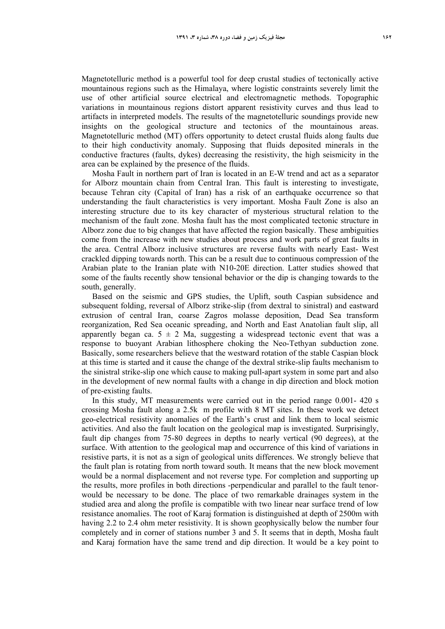Magnetotelluric method is a powerful tool for deep crustal studies of tectonically active mountainous regions such as the Himalaya, where logistic constraints severely limit the use of other artificial source electrical and electromagnetic methods. Topographic variations in mountainous regions distort apparent resistivity curves and thus lead to artifacts in interpreted models. The results of the magnetotelluric soundings provide new insights on the geological structure and tectonics of the mountainous areas. Magnetotelluric method (MT) offers opportunity to detect crustal fluids along faults due to their high conductivity anomaly. Supposing that fluids deposited minerals in the conductive fractures (faults, dykes) decreasing the resistivity, the high seismicity in the area can be explained by the presence of the fluids.

Mosha Fault in northern part of Iran is located in an E-W trend and act as a separator for Alborz mountain chain from Central Iran. This fault is interesting to investigate, because Tehran city (Capital of Iran) has a risk of an earthquake occurrence so that understanding the fault characteristics is very important. Mosha Fault Zone is also an interesting structure due to its key character of mysterious structural relation to the mechanism of the fault zone. Mosha fault has the most complicated tectonic structure in Alborz zone due to big changes that have affected the region basically. These ambiguities come from the increase with new studies about process and work parts of great faults in the area. Central Alborz inclusive structures are reverse faults with nearly East- West crackled dipping towards north. This can be a result due to continuous compression of the Arabian plate to the Iranian plate with N10-20E direction. Latter studies showed that some of the faults recently show tensional behavior or the dip is changing towards to the south, generally.

Based on the seismic and GPS studies, the Uplift, south Caspian subsidence and subsequent folding, reversal of Alborz strike-slip (from dextral to sinistral) and eastward extrusion of central Iran, coarse Zagros molasse deposition, Dead Sea transform reorganization, Red Sea oceanic spreading, and North and East Anatolian fault slip, all apparently began ca.  $5 \pm 2$  Ma, suggesting a widespread tectonic event that was a response to buoyant Arabian lithosphere choking the Neo-Tethyan subduction zone. Basically, some researchers believe that the westward rotation of the stable Caspian block at this time is started and it cause the change of the dextral strike-slip faults mechanism to the sinistral strike-slip one which cause to making pull-apart system in some part and also in the development of new normal faults with a change in dip direction and block motion of pre-existing faults.

In this study, MT measurements were carried out in the period range 0.001- 420 s crossing Mosha fault along a 2.5k m profile with 8 MT sites. In these work we detect geo-electrical resistivity anomalies of the Earth's crust and link them to local seismic activities. And also the fault location on the geological map is investigated. Surprisingly, fault dip changes from 75-80 degrees in depths to nearly vertical (90 degrees), at the surface. With attention to the geological map and occurrence of this kind of variations in resistive parts, it is not as a sign of geological units differences. We strongly believe that the fault plan is rotating from north toward south. It means that the new block movement would be a normal displacement and not reverse type. For completion and supporting up the results, more profiles in both directions -perpendicular and parallel to the fault tenorwould be necessary to be done. The place of two remarkable drainages system in the studied area and along the profile is compatible with two linear near surface trend of low resistance anomalies. The root of Karaj formation is distinguished at depth of 2500m with having 2.2 to 2.4 ohm meter resistivity. It is shown geophysically below the number four completely and in corner of stations number 3 and 5. It seems that in depth, Mosha fault and Karaj formation have the same trend and dip direction. It would be a key point to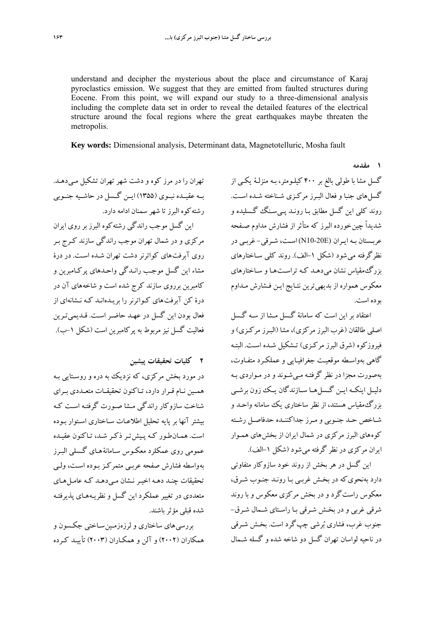understand and decipher the mysterious about the place and circumstance of Karaj pyroclastics emission. We suggest that they are emitted from faulted structures during Eocene. From this point, we will expand our study to a three-dimensional analysis including the complete data set in order to reveal the detailed features of the electrical structure around the focal regions where the great earthquakes maybe threaten the metropolis.

**Key words:** Dimensional analysis, Determinant data, Magnetotelluric, Mosha fault

**1 مقدمه** 

گسل مشا با طولي بالغ بر 400 كيلـومتر، بـه منزلـة يكـي از گسلهاي جنبا و فعال البـرز مركـزي شـناخته شـده اسـت . روند كلي اين گسل مطابق بـا رونـد پـي سـنگ گـسليده و شديداً چينخورده البرز كه متأثر از فشارش مداوم صـفحه عربـستان بـه ايـران (E10-20N (اسـت، شـرقي- غربـي در نظرگرفته ميشود (شكل -1الف). روند كلي سـاختارهاي بزرگمقياس نشان ميدهـد كـه تراسـت هـا و سـاختارهاي معكوس همواره از بديهيترين نتـايج ايـن فـشارش مـداوم بوده است.

اعتقاد بر اين است كه سامانة گـسل مـشا از سـه گـسل اصلي طالقان (غرب البرز مركزي)، مشا (البـرز مركـزي) و فيروزكوه (شرق البرز مركـزي) تـشكيل شـده اسـت . البتـه گاهي بهواسـطه موقعيـت جغرافيـايي و عملكـرد متفـاوت، بهصورت مجزا در نظر گرفتـه مـيشـوند و در مـواردي بـه دليــل اينكــه ايــن گــسلهــا ســازندگان يــك زون برشــي بزرگمقياس هستند، از نظر ساختاري يك سامانه واحـد و شـاخص حـد جنـوبي و مـرز جداكننـده حدفاصـل رشـته كوه هاي البرز مركزي در شمال ايران از بخش هاي همـوار ايران مركزي در نظر گرفته ميشود (شكل -1الف).

اين گسل در هر بخش از روند خود سازوكار متفاوتي دارد بهنحويكه در بخـش غربـي بـا رونـد جنـوب شـرق، معكوس راستگرد و در بخش مركزي معكوس و با روند شرقي غربي و در بخـش شـرقي بـا راسـتاي شـمال شـرق- جنوب غرب، فشاري برشي چپگرد است. بخـش شـرقي در ناحيه لواسان تهران گسل دو شاخه شده و گسله شـمال

تهران را در مرز كوه و دشت شهر تهران تشكيل مـي دهـد. بــه عقيــده نبــوي (1355) ايــن گــسل در حاشــيه جنــوبي رشتهكوه البرز تا شهر سمنان ادامه دارد. اين گسل موجب راندگي رشتهكوه البرز بر روي ايران مركزي و در شمال تهران موجب راندگي سازند كـرج بـر روي آبرفت هاي كواترنر دشت تهران شـده اسـت . در درة مشاء اين گسل موجـب رانـدگي واحـدهاي پركـامبرين و كامبرين برروي سازند كرج شده است و شاخه هاي آن در درة كن آبرفت هاي كـواترنر را بريـده انـد كـه نـشانه اي از فعال بودن اين گسل در عهـد حاضـر اسـت . قـديميتـرين فعاليت گسل نيز مربوط به پركامبرين است (شكل -1ب).

**2 كليات تحقيقات پيشين** 

در مورد بخش مركزي، كه نزديك به دره و روسـتايي بـه همــين نــام قــرار دارد، تــاكنون تحقيقــات متعــددي بــراي شناخت سازوكار راندگي مـشا صـورت گرفتـه اسـت كـه بيشتر آنها بر پايه تحليل اطلاعـات سـاختاري اسـتوار بـوده است. همـانطـور كـه پـيش تـر ذكـر شـد، تـاكنون عقيـده عمومي روي عمكلرد معكـوس سـامانة هـاي گـسلي البـرز بهواسطه فشارش صفحه عربـي متمركـز بـوده اسـت، ولـي تحقيقات چنـد دهـه اخيـر نـشان مـي دهـد كـه عامـل هـاي متعددي در تغيير عملكرد اين گسل و نظريـه هـاي پذيرفتـه شده قبلي مؤثرباشند.

بررسي هاي ساختاري و لرزهزمـين سـاختي جكـسون و همكاران (2002) و آلن و همكـاران (2003) تأييـد كـرده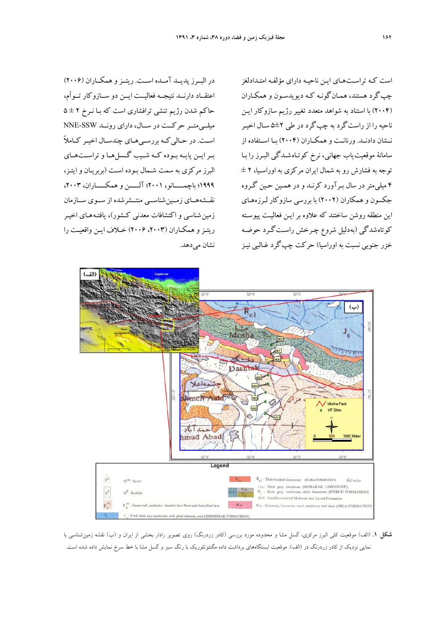در البــرز پديــد آمــده اســت. ريتــزو همكــاران (2006) اعتقــاد دارنــد نتيجــه فعاليــت ايــن دو ســازوكار تــوأم، حاكم شدن رژيم تنشي ترافشاري است كه بـا نـرخ 2 ± 5 ميلــيمتــر حركــت در ســال، داراي رونــد SSW-NNE اســت. در حــاليكــه بررســيهــاي چندســال اخيــر كــاملاً بــرايــن پايــه بــوده كــه شــيب گــسلهــا و تراســتهــاي البرز مركزي به سمت شـمال بـوده اسـت (بربريـان و ايتـز، 1999؛ باچمـــــانو، 2001؛ آلـــــن وهمكـــــاران، ،2003 نقــشههــاي زمــينشناســي منتــشرشده از ســوي ســازمان زمين شناسي و اكتشافات معدني كـشور )، يافتـه هـاي اخيـر ريتـزو همكـاران (،2003 2006) خـلاف ايـن واقعيـت را نشان مي دهد.

است كـه تراسـت هـاي ايـن ناحيـه داراي مؤلفـه امتـدادلغز چپگرد هستند، همـانگونـه كـه ديويدسـون و همكـاران (2004) با استناد به شواهد متعدد تغيير رژيم سازوكار ايـن ناحيه را از راستگرد به چپگرد در طي 5±2 سـال اخيـر نــشان دادنــد. ورنانــت و همكــاران (2004) بــا اســتفاده از سامانة موقعيت ياب جهاني، نرخ كوتـاه شـدگي البـرز را بـا توجه به فشارش رو به شمال ايران مركزي به اوراسـيا، 2 ± 4 ميليمتر در سال بـرآورد كرنـد و در همـين حـين گـروه جكسون و همكاران (2002) با بررسي سازوكار لـرزههـاي اين منطقه روشن ساختند كه علاوه بر ايـن فعاليـت پيوسـته كوتاه شدگي (بهدليل شروع چـرخش راسـت گـرد حوضـه خزر جنوبي نسبت به اوراسيا) حركت چپگرد غـالبي نيـز



**شكل .1** (الف) موقعيت كلي البرز مركزي، گسل مشا و محدوده مورد بررسي (كادر زردرنگ) روي تصوير رادار بخشي از ايران و (ب) نقشه زمينشناسي با نمايي نزديك از كادر زردرنگ در (الف). موقعيت ايستگاههاي برداشت داده مگنتوتلوريك با رنگ سبز و گسل مشا با خط سرخ نمايش داده شده است.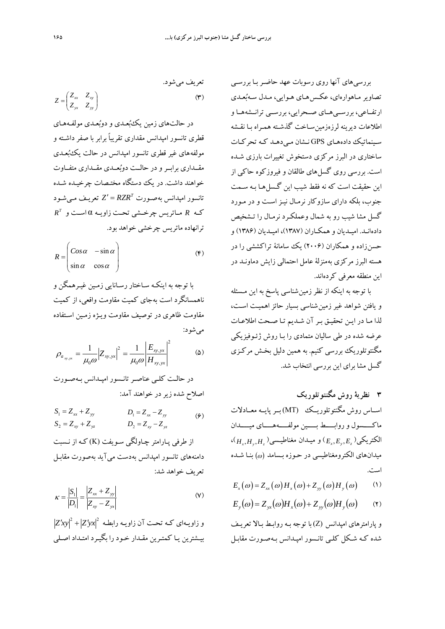بررسيهاي آنها روي رسوبات عهد حاضـر بـا بررسـي تصاوير مـاهوارهاي، عكـس هـاي هـوايي، مـدل سـهبعـدي ارتفــاعي، بررســيهــاي صــحرايي، بررســي ترانــشههــا و اطلاعات ديرينه لرزهزمينسـاخت گذشـته همـراه بـا نقـش ه سـينماتيك دادههـاي GPS نـشان مـيدهـد كـه تحركـات ساختاري در البرز مركزي دستخوش تغييرات بارزي شـده است. بررسي روي گسل هاي طالقان و فيروزكوه حاكي از اين حقيقت است كه نه فقط شيب اين گـسلهـا بـه سـمت جنوب، بلكه داراي سازوكار نرمـال نيـز اسـت و در مـورد گسل مشا شيب رو ب ه شمال وعملكـرد نرمـال را تـشخيص دادهانـد. اميـديان و همكـاران (1387)، اميـديان (1386) و حسنزاده و همكاران (2006) يك سامانة تراكششي را در هسته البرز مركزي بهمنزلة عامل احتمالي زايش دماونـد در اين منطقه معرفي كردهاند.

با توجه به اينكه از نظر زمين شناسي پاسخ به اين مـسئله و يافتن شواهد غير زمين شناسي بسيار حائز اهميـت اسـت، لذا مـا در ا يـن تحقيـق بـر آن شـد يم تـا صـحت اطلاعـات عرضه شده در طي ساليان متمادي را بـا روش ژئـو فيزيكي مگنتوتلوريك بررسي كنيم. به همين دليل بخـش مركـز ي گسل مشا براي اين بررسي انتخاب شد.

- **3 نظرية روش مگنتوتلوريك**  اســاس روش مگنتوتلوريــك (MT)بــرپايــه معــادلات ماكـــــسول وروابـــــط بـــــين مولفـــــههـــــاي ميـــــدان  $\left\langle H_{x},H_{y},H_{z}\right\rangle$ الكتريكي $\left(E_{x},E_{y},E_{z}\right)$  و ميـدان مغناطيـسي ميدان هاي الكترومغناطيسي در حـوزه بـسامد بنـا شـده است.
- $E_x(\omega) = Z_{xx}(\omega)H_x(\omega) + Z_{yy}(\omega)H_y(\omega)$  (1)
- $E_y(\omega) = Z_{yx}(\omega)H_y(\omega) + Z_{yy}(\omega)H_y(\omega)$  (Y)

و پارامترهاي امپدانس (Z (با توجه بـه روابـط بـالا تعريـف شده كـه شـكل كلـ ي تانـسور امپـدانس بـهصـورت مقابـل

$$
Z = \begin{pmatrix} Z_{xx} & Z_{xy} \\ Z_{yx} & Z_{yy} \end{pmatrix} \tag{7}
$$

در حالتهاي زمين يكبعـدي و دوبعـدي مولفـههـاي قطري تانسور امپدانس مقداري تقريباً برابر با صفر داشـته و مولفه هاي غير قطري تانسور امپدانس در حالت يكبعـدي مقــداري برابــرو در حالــت دوبعــدي مقــداري متفــاوت خواهند داشت. در يك دستگاه مختـصات چرخيـده شـده  $Z' = RZR^T$  تعريـف مـي شـود *Z'* =  $RZR^T$  $R^T$  مــاتريس چرخــشي تحـت زاويــه  $\alpha$  اسـت و  $R$ ترانهاده ماتريس چرخشي خواهد بود.

$$
R = \begin{pmatrix} Cos \alpha & -sin \alpha \\ sin \alpha & cos \alpha \end{pmatrix}
$$
 (6)

با توجه به اينكـه سـاختار رسـانا يي زمـين غيـرهمگن و ناهمسانگرد است بهجاي كميت مقاومت واقعي، از كميت مقاومت ظاهري در توصيف مقاومت ويـژه زمـين اسـتفاده ميشود:

$$
\rho_{a_{xy,yx}} = \frac{1}{\mu_0 \omega} |Z_{xy,yx}|^2 = \frac{1}{\mu_0 \omega} \left| \frac{E_{xy,yx}}{H_{xy,yx}} \right|^2 \tag{2}
$$

در حالـت كلـي عناصـرتانـسور امپـدانس بـهصـورت اصلاح شده زيردر خواهند آمد:

$$
S_1 = Z_{xx} + Z_{yy} \t D_1 = Z_{xx} - Z_{yy} \t (9)
$$
  
\n
$$
S_2 = Z_{xy} + Z_{yz} \t D_2 = Z_{xy} - Z_{yz}
$$

از طرفي پـارامتر چـاولگي سـويفت (K (كـه از نـسبت دامنههاي تانسور امپدانس بهدست ميآيد بهصورت مقابـل تعريف خواهد شد:

$$
\kappa = \frac{|S_1|}{|D_1|} = \frac{|Z_{xx} + Z_{yy}|}{|Z_{xy} - Z_{yx}|}
$$
 (V)

 $\left\vert Z'xy\right\vert ^{2}+\left\vert Z'yx\right\vert ^{2}$  و زاویـهای کـه تحـت آن زاویـه رابطـه بيـشترين يـا كمتـرين مقـدار خـود را بگيـرد امتـداد اصـلي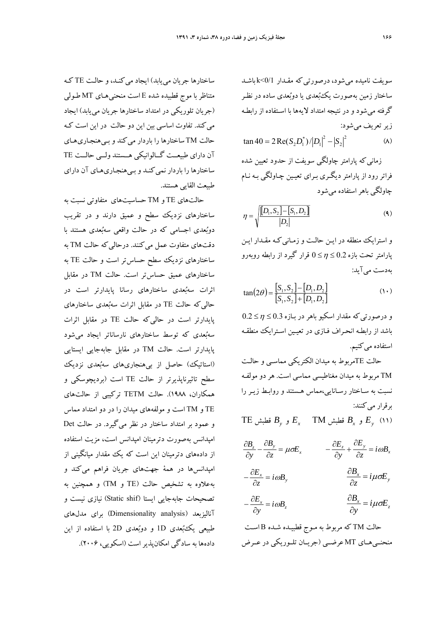سويفت ناميده ميشود، درصورتيكه مقـدار 0/1>k باشـد ساختار زمين بهصورت يكبعدي يا دوبعدي ساده در نظـر گرفته ميشود و در نتيجه امتداد لايه ها با اسـتفاده از رابطـه زيرتعريف ميشود:

 $(\lambda)$ 2 2  $\tan 40 = 2 \operatorname{Re}(S_2 D_1^*) / |D_1|^2 - |S_1|^2$ 

زمانيكه پارامتر چاولگي سويفت از حدود تعيين شده فراتر رود از پارامتر د يگـري بـراي تعيـين چـاولگي بـه نـام چاولگي باهر استفاده ميشود

$$
\eta = \sqrt{\frac{[D_1, S_2] - [S_1, D_2]}{D_2}}
$$
\n(4)

و استرايك منطقه در ايـن حالـت و زمـانيكـه مقـدار ايـن پارامتر تحت بازه 0.2 0 قرار گيرد از رابطه روبهرو بهدست ميآيد:

$$
\tan(2\theta) = \frac{[S_1, S_2] - [D_1, D_2]}{[S_1, S_2] + [D_1, D_2]}
$$
(1)

و درصورتيكه مقدار اسكيو باهر در بـازه 0.3 0.2 باشد از رابطـه انحـراف فـاز ي در تعيـين اسـترايك منطقـه استفاده مي كنيم.

حالت TEمربوط به ميدان الكتريكي مماسـي و حالـت TM مربوط به ميدان مغناطيسي مماسي است. هر دو مولفـه نسبت به سـاختار رسـانا يي،مماس هـستند و روابـط ز يـر را برقرار مي كنند:

 $TE_{y}$  و  $E_{x}$  قطبش  $E_{y}$   $T$ M قطبش  $E_{y}$  (11)

 $\frac{z}{z} + \frac{\partial E_y}{\partial z} = i \omega B_y$ *z E y*  $\frac{\partial E_z}{\partial t} + \frac{\partial E_y}{\partial t} = i\omega$  $\tilde{c}$  $+\frac{\hat{c}}{}$  $\hat{o}$  $-\frac{\hat{c}}{c}$  $\frac{z}{\partial z} - \frac{\partial B_y}{\partial z} = \mu \sigma E_x$ *z B*  $\frac{\partial B_z}{\partial y} - \frac{\partial B_y}{\partial z} = \mu \sigma^2$ 

$$
-\frac{\partial E_x}{\partial z} = i\omega B_y \qquad \qquad \frac{\partial B_x}{\partial z} = i\mu \sigma E_y
$$

$$
-\frac{\partial E_x}{\partial y} = i\omega B_z \qquad \qquad \frac{\partial B_x}{\partial y} = i\mu \sigma E_z
$$

حالت TM كه مربوط به مـوج قطبيـده شـده B اسـت منحنــيهــاي MT عرضــي (جريــان تلــوريكي در عــرض

ساختار ها جريان مييابد) ايجاد ميكنـد، و حالـت TE كـه متناظر با موج قطبيده شده E است منحني هـاي MT طـولي (جريان تلوريكي در امتداد ساختارها جر يان مييابد) ايجاد ميكند. تفاوت اساسي بين اين دو حالت در اين است كـه حالت TM ساختارها را باردار ميكند و بـي هنجـاريهـاي آن داراي طبيعــت گــالوانيكي هــستند ولــي حالــت TE ساختار ها را باردار نميكنـد و بـي هنجـاريهـاي آن داراي طبيعت القايي هستند.

حالتهاي TE و TM حساسيتهاي متفاوتي نسبت به ساختارهاي نزديك سطح و عميق دارند و در تقريب دوبعدي اجسامي كه در حالت واقعي سهبعدي هستند با دقتهاي متفاوت عمل ميكنند. درحاليكه حالت TM به ساختارهاي نزديك سطح حساستر است و حالت TE به ساختارهاي عميق حساستر است. حالت TM در مقابل اثرات سهبعدي ساختارهاي رسانا پايدارتر است در حاليكه حالت TE در مقابل اثرات سهبعدي ساختارهاي پايدارتر است در حاليكه حالت TE در مقابل اثرات سهبعدي كه توسط ساختارهاي نارساناتر ايجاد ميشود پايدارتر است. حالت TM در مقابل جابهجايي ايستايي (استاتيك) حاصل از بي هنجاريهاي سهبعدي نزديك سطح تاثيرناپذيرتر از حالت TE است (برديچوسكي و همكاران، 1988). حالت TETM تركيبي از حالتهاي TE و TM است و مولفههاي ميدان را در دو امتداد مماس و عمود بر امتداد ساختار در نظر ميگيرد. در حالت Det امپدانس بهصورت دترمينان امپدانس است، مزيت استفاده از دادههاي دترمينان اين است كه يك مقدار ميانگيني از امپدانسها در همة جهتهاي جريان فراهم ميكند و بهعلاوه به تشخيص حالت (TE و TM (و همچنين به تصحيحات جابهجايي ايستا (Static shif) نيازي نيست و آناليزبعد (analysis Dimensionality (براي مدلهاي طبيعي يكبعدي D1 و دوبعدي D2 با استفاده از اين دادهها به سادگي امكانپذيراست (اسكويي، 2006).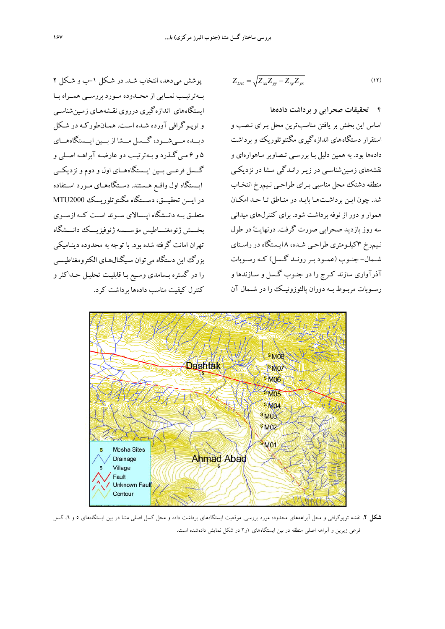پوشش مي دهد، انتخاب شـد. در شـكل -1ب و شـكل 2 بــهترتيــب نمــايي از محــدوده مــورد بررســي همــراه بــا ايستگاه هاي اندازهگيري درروي نقـشههـاي زمـينشناسـي وتوپـوگرافي آورده شـده اسـت. همـانطوركـه در شـكل ديـــده مـــيشـــود، گـــسل مـــشا از بـــين ايـــستگاههـــاي 5 و 6 مـيگـذرد و بـهترتيـب دو عارضـه آبراهـه اصـلي و گــسل فرعــي بــين ايــستگاههــاي اول و دوم و نزديكــي ايــستگاه اول واقــع هــستند. دســتگاههــاي مــورد اســتفاده در ايـــن تحقيـــق، دســـتگاه مگنتوتلوريـــك 2000MTU متعلــق بــه دانــشگاه اپــسالاي ســوئد اســت كــه ازســوي بخـــش ژئومغنـــاطيس مؤســـسه ژئوفيزيـــك دانـــشگاه تهران امانت گرفته شده بود. با توجه به محدوده دينـاميكي بزرگ اين دستگاه ميتوان سـيگنالهـاي الكترومغناطيـسي را در گستره بـسامدي وسـيع بـا قابليـت تحليـل حـداكثر و كنترل كيفيت مناسب دادهها برداشت كرد.

$$
Z_{Det} = \sqrt{Z_{xx} Z_{yy} - Z_{xy} Z_{yx}}
$$
 (11)

**4 تحقيقات صحرايي و برداشت دادهها** 

اساس اين بخش بر يافتن مناسبترين محل بـراي نـصب و استقرار دستگاه هاي اندازهگيري مگنتوتلوريك و برداشت دادهها بود. به همين دليل بـا بررسـي تـصاويرمـاهوارهاي و نقشههاي زمـينشناسـي در زيـر رانـدگي مـشا در نزد يكـي منطقه دشتك محل مناسبي بـراي طراحـي نـيمرخ انتخـاب شد. چون ايـن برداشـتهـا بايـد در منـاطق تـا حـد امكـان هموار و دور از نوفه برداشت شود. براي كنترل هاي ميداني سه روز بازديد صحرايي صورت گرفت. درنهايت در طول نـيمرخ 3كيلـومتري طراحـي شـده، 8 ايـستگاه در راسـتاي شــمال- جنــوب (عمــود بــررونــد گــسل) كــه رســوبات آذرآواري سازند كـرج را در جنـوب گـسل و سـازندها و رســوبات مربــوط بــه دوران پالئوزوئيــك را در شــمال آن



**شكل .2** نقشه توپوگرافي و محل آبراهههاي محدوده مورد بررسي. موقعيت ايستگاههاي برداشت داده و محل گسل اصلي مشا در بين ايستگاههاي 5 و ،6 گسل فرعي زيرين و آبراهه اصلي منطقه در بين ايستگاههاي 1و2 در شكل نمايش دادهشده است.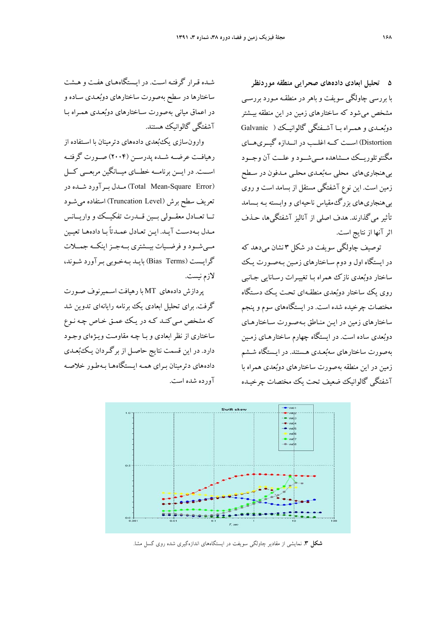**5 تحليل ابعادي دادههاي صحرايي منطقه موردنظر**  با بررسي چاولگي سويفت و باهردر منطقـه مـورد بررسـي مشخص ميشود كه ساختار هاي زمين در اين منطقه بيـشتر دوبعــدي و همــراه بــا آشــفتگي گالوانيــك ( Galvanic Distortion (اســت كــه اغلــب در انــدازه گيــريهــاي مگنتوتلوريــك مــشاهده مــيشــود وعلــت آن وجــود بي هنجاريهاي محلي سهبعـدي محلـي مـدفون در سـطح زمين است. اين نوع آشفتگي مستقل از بسامد است وروي بي هنجاريهاي بزرگمقياس ناحيه اي و وابـسته بـه بـسامد تأثير ميگذارند. هدف اصلي از آناليز آشفتگيها، حـذف اثر آنها از نتايج است.

توصيف چاولگي سويفت در شكل 3 نشان ميدهد كه در ايستگاه اول و دوم سـاختارهاي زمـين بـه صـورت يـك ساختار دوبعدي نازك همراه بـا تغييـرات رسـانايي جـانبي روي يك ساختار دوبعدي منطقـه اي تحـت يـك دسـتگاه مختصات چرخيده شده است. در ايستگاه هاي سوم و پنجم ساختار هاي زمين در ايـن منـاطق بـه صـورت سـاختار هـاي دوبعدي ساده است. در ايستگاه چهارم ساختار هـاي زمـين بهصورت ساختار هاي سهبعـدي هـستند. در ايـستگاه شـشم زمين در اين منطقه به صورت ساختار هاي دوبعدي همراه با آشفتگي گالوانيك ضعيف تحت يك مختصات چرخيـده

شـده قـرار گرفتـه اسـت. در ايـستگاههـاي هفـت و هـشت ساختار ها در سطح بهصورت ساختارهاي دوبعـدي سـاده و در اعماق مياني بهصورت سـاختارهاي دوبعـدي همـراه بـا آشفتگي گالوانيك هستند.

وارونسازي يكبعدي دادههاي دترمينان با اسـتفاده از رهيافــت عرضــه شــده پدرســن (2004) صــورت گرفتــه اســت. در ايـــن برنامــه خطـــاي ميــانگين مربعـــي كـــل (Error Square-Mean Total (مــدل بــرآورد شــده در تعريف سطح برش (Level Truncation (استفاده ميشـود تــا تعــادل معقــولي بــين قــدرت تفكيــك و واريــانس مـدل بـهدسـت آيـد. ايـن تعـادل عمـدتاً بـا دادههـا تعيـين مــيشــود و فرضــيات بيــشتري بــهجــزاينكــه جمــلات گرايـست (Terms Bias (بايـد بـهخـوبي بـرآورد شـوند، لازم نيست.

پردازش دادههاي MT با رهيافت اسـميرنوف صـورت گرفت. براي تحليل ابعادي يك برنامه رايانه اي تدوين شد كه مشخص مـي كنـد كـه در يـك عمـق خـاص چـه نـوع ساختاري از نظر ابعادي و بـا چـه مقاومـت ويـژه اي وجـود دارد. در اين قسمت نتايج حاصـل از برگـردان يـك بعـدي دادههاي دترمينان بـراي همـه ايـستگاه هـا بـه طـور خلاصـه آورده شده است.



**شكل .3** نمايشي از مقادير چاولگي سويفت در ايستگاههاي اندازهگيري شده روي گسل مشا.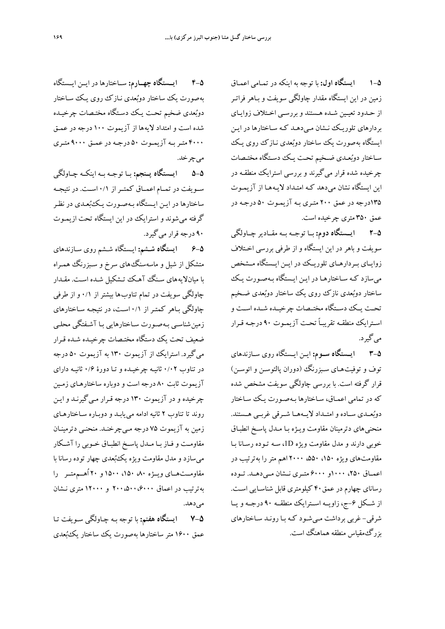**1-5 ايستگاه اول:** با توجه به اينكه در تمـامي اعمـاق زمين در اين ايستگاه مقدار چاولگي سويفت و بـاهر فراتـر از حـدود تعيـين شـده هـستند و بررسـي اخـتلاف زوايـاي بردارهاي تلوريـك نـشان مـيدهـد كـه سـاختارها در ا يـن ايستگاه بهصورت يك ساختار دوبعدي نـازك روي يـك سـاختار دوبعـدي ضـخيم تحـت يـك دسـتگاه مختـصات چرخيده شده قرار ميگيرند و بررسي استرايك منطقـه در اين ايستگاه نشان ميدهد كـه امتـداد لا يـه هـا از آزيمـوت 135درجه در عمق 200 متـري بـه آزيمـوت 50 درجـه در عمق 350 متري چرخيده است.

**2-5 ايــستگاه دوم:** بــا توجــه بــه مقــادير چــاولگي سويفت و باهر در ا ين ايستگاه و از طرفي بررسي اخـتلاف زوايــاي بــردارهــاي تلوريــك در ايــن ايــستگاه مــشخص ميسازد كـه سـاختار هـا در ايـن ايـستگاه بـهصـورت يـك ساختار دوبعدي نازك روي يك ساختار دوبعدي ضـخيم تحــت يــك دســتگاه مختــصات چرخيــده شــده اســت و اسـترايك منطقـه تقريبـاً تحـت آزيمـوت 90 درجـه قـرار ميگيرد.

**3-5 ايـستگاه ســوم:** ايـن ايـستگاه روي سـازندهاي توف و توفيتهـاي سـبزرنگ (دوران پالئوسـن و ائوسـن ) قرار گرفته است. با بررسي چاولگي سويفت مشخص شده كه در تمامي اعمـاق، سـاختارها بـهصـورت يـك سـاختار دوبعــدي ســاده وامتــداد لايــههــا شــرقي غربــي هــستند. منحنيهاي دترمينان مقاومت ويـژه بـا مـدل پاسـخ انطبـاق خوبي دارند و مدل مقاومت و يژه D،1 سـه تـوده رسـانا بـا مقاومتهاي ويژه ،150 ،550 2000 اهم متررا بهترتيب در اعمــاق ،250 1000و 6000 متــري نــشان مــيدهــد. تــوده رساناي چهارم در عمق40 كيلومتري قابل شناسـايي اسـت. از شـكل ۶-ج، زاويــه اسـترايك منطقــه ۹۰ درجــه ويــا شرقي- غربي برداشت مـي شـود كـه بـا رونـد سـاختارهاي بزرگ مقياس منطقه هماهنگ است.

**4-5 ايــستگاه چهــارم:** ســاختارها در ايــن ايــستگاه به صورت يك ساختار دوبعدي نـازك روي يـك سـاختار دوبعدي ضخيم تحـت يـك دسـتگاه مختـصات چرخيـده شده است و امتداد لايه ها از آزيموت 100 درجه در عمـق 4000 متـربـه آزيمـوت 50 درجـه در عمـق 9000 متـري ميچرخد.

**5-5 ايــستگاه پــنجم:** بــا توجــه بــه اينكــه چــاولگي ســويفت در تمــام اعمــاق كمتــراز 0/1 اســت. در نتيجــه ساختارها در ايـن ايـستگاه بـهصـورت يـكبعـدي در نظـر گرفته ميشوند و استرايك در اين ايستگاه تحت ازيمـوت 90 درجه قرار ميگيرد.

**6-5 ايستگاه شـشم:** ايـستگاه شـشم روي سـازندهاي متشكل از شيل و ماسهسنگ هاي سرخ و سـبزرنگ همـراه با ميانلايه هاي سـنگ آهـك تـشك يل شـده اسـت . مقـدار چاولگي سويفت در تمام تناوب ها بيشتر از 0/1 و از طرفي چاولگي بـاهر كمتـر از 0/1 اسـت، در نتيجـه سـاختارهاي زمين شناسـي بـهصـورت سـاختارهايي بـا آشـفتگ ي محلـي ضعيف تحت يك دستگاه مختـصات چرخيـده شـده قـرار ميگيرد. استرايك از آزيموت 130 به آزيموت 50 درجه در تناوب 0/02 ثانيـه چرخيـده و تـا دورة 0/6 ثانيـه داراي آزيموت ثابت 80 درجه است و دوباره ساختار هـاي زمـين چرخيده و در آزيموت 130 درجه قـرار مـيگيرنـد و ايـن روند تا تناوب 2 ثانيه ادامه مييابـد و دوبـاره سـاختار هـاي زمين به آزيموت 75 درجه مـيچرخنـد. منحنـي دترمينـان مقاومـت و فـاز بـا مـدل پاسـخ انطبـاق خـوبي را آشـكار ميسازد و مدل مقاومت ويژه يكبعدي چهار توده رسانا با مقاومــتهــاي ويــژه ،80 ،150 1500 و 20 اُهــممتــر را بهترتيب در اعماق 200،500،6000 و 12000 متري نـشان مي رهد.

**7-5 ايستگاه هفتم:** با توجه بـه چـاولگي سـويفت تـا عمق 1600 متر ساختار ها بهصورت يك ساختار يكبعدي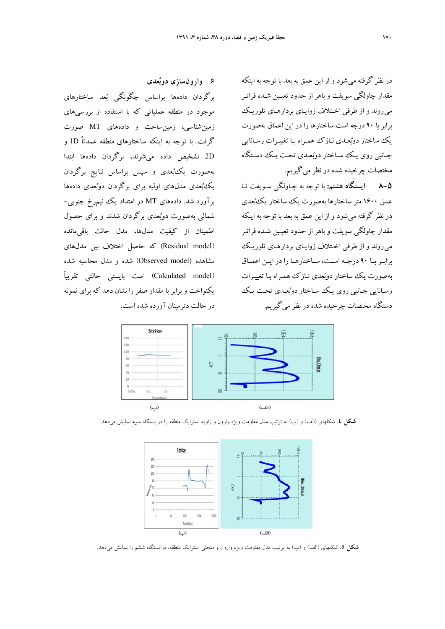در نظر گرفته مي شود و از اين عمق به بعد با توجه به اينكه مقدار چاولگي سويفت و باهر از حدود تعيـين شـده فراتـر مي روند و از طرفي اخـتلاف ز وايـاي بردارهـاي تلوريـك برابر با 90 درجه است ساختارها را در اين اعماق بهصورت يك ساختار دوبعـدي نـازك همـراه بـا تغييـرات رسـانايي جـانبي روي يـك سـاختار دوبعـدي تحـت يـك دسـتگاه مختصات چرخيده شده در نظرميگيريم.

**8-5 ايستگاه هشتم:** با توجه به چـاولگي سـويفت تـا عمق 1600 متر ساختار ها بهصورت يك ساختار يكبعدي در نظر گرفته مي شود و از اين عمق به بعد با توجه به اينكه مقدار چاولگي سويفت و باهر از حدود تعيـين شـده فراتـر مي روند و از طرفي اخـتلاف زوايـاي بردارهـاي تلوريـك برابــربــا 90 درجــه اســت، ســاختارهــا را در ايــن اعمــاق بهصورت يك ساختار دوبعدي نـازك همـراه بـا تغييـرات رسـانايي جـانبي روي يـك سـاختار دوبعـدي تحـت يـك دستگاه مختصات چرخيده شده در نظرميگيريم.

**6 وارونسازي دوبعدي**  برگردان دادهها براساس چگونگي بعد ساختارهاي موجود در منطقه عملياتي كه با استفاده از بررسيهاي زمينشناسي، زمينساخت و دادههاي MT صورت گرفت. با توجه به اينكه ساختارهاي منطقه عمدتاً D1 و

D2 تشخيص داده ميشوند، برگردان دادهها ابتدا بهصورت يكبعدي و سپس براساس نتايج برگردان يكبعدي مدلهاي اوليه براي برگردان دوبعدي دادهها برآورد شد. دادههاي MT در امتداد يك نيمرخ جنوبي- شمالي بهصورت دوبعدي برگردان شدند و براي حصول اطمينان از كيفيت مدلها، مدل حالت باقيمانده (model Residual (كه حاصل اختلاف بين مدلهاي مشاهده (model Observed (شده و مدل محاسبه شده (model Calculated (است بايستي حالتي تقريباً يكنواخت و برابر با مقدار صفر را نشان دهد كه براي نمونه در حالت دترمينان آورده شده است.



**شكل .4** شكلهاي (الف) و (ب) به ترتيب مدل مقاومت ويژه وارون و زاويه استرايك منطقه را درايستگاه سوم نمايش ميدهد.



**شكل .5** شكلهاي (الف) و (ب) به ترتيب مدل مقاومت ويژه وارون و منحني استرايك منطقه، درايستگاه ششم را نمايش ميدهد.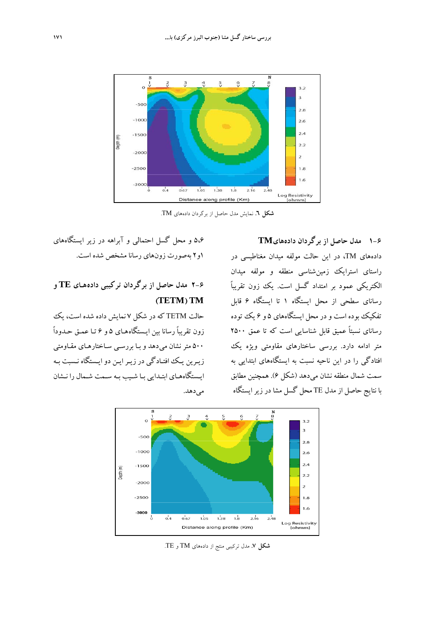

**شكل .6** نمايش مدل حاصل از برگردان دادههاي TM.

**1-6 مدل حاصل از برگردان دادههايTM** دادههاي TM، در اين حالت مولفه ميدان مغناطيسي در راستاي استرايك زمينشناسي منطقه و مولفه ميدان الكتريكي عمود بر امتداد گسل است. يك زون تقريباً رساناي سطحي از محل ايستگاه 1 تا ايستگاه 6 قابل تفكيك بوده است و در محل ايستگاههاي 5 و 6 يك توده رساناي نسبتاً عميق قابل شناسايي است كه تا عمق 2500 متر ادامه دارد. بررسي ساختارهاي مقاومتي ويژه يك افتادگي را در اين ناحيه نسبت به ايستگاههاي ابتدايي به سمت شمال منطقه نشان ميدهد (شكل 6). همچنين مطابق با نتايج حاصل از مدل TE محل گسل مشا در زيرايستگاه

5،6 و محل گسل احتمالي و آبراهه در زير ايستگاههاي 1و2 بهصورت زونهاي رسانا مشخص شده است.

## **2-6 مدل حاصل از برگردان تركيبي د اده هـاي TE و (TETM) TM**

حالت TETM كه در شكل 7 نمايش داده شده است، يك زون تقريباً رسانا بين ايـستگاه هـاي 5 و 6 تـا عمـق حـدوداً 500 متر نشان مي دهد و بـا بررسـي سـاختار هـاي مقـاومتي زيـرين يـك افتـادگي در زيـرايـن دوايـستگاه نـسبت بـه ايـستگاههـاي ابتـدايي بـا شـيب بـه سـمت شـمال را نـشان مي دهد.



**شكل .7** مدل تركيبي منتج از دادههاي TM و TE.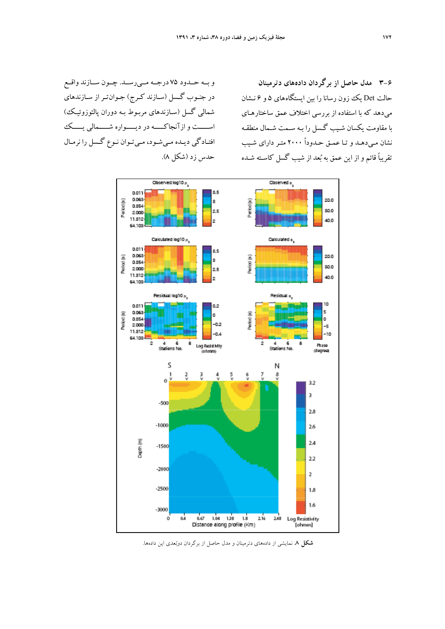**3-6 مدل حاصل از برگردان دادههاي دترمينان**  حالت Det يك زون رسانا را بين ايستگاههاي ۵ و ۶ نـشان ميدهد كه با استفاده از بررس ي اختلاف عمق ساختار هـاي با مقاومت يكسان شـيب گـسل را بـه سـمت شـمال منطقـه نشان مـيدهـد و تـا عمـق حـدوداً 2000 متـر داراي شـيب تقريباً قائم و از ا ين عمق به بعد از شيب گسل كاسـته شـده

و بــه حــدود 75 درجــه مــيرســد. چــون ســازند واقــع در جنـوب گـسل (سـازند كـرج) جـوانتـراز سـازندهاي شمالي گسل (سـازندهاي مربـوط بـه دوران پالئوزوئ يـك) اســـــت وازآنجاكـــــه در ديـــــواره شـــــمالي يـــــك افتـادگي ديـده مـيشـود، مـيتـوان نـوع گـسل را نرمـال حدس زد (شكل 8).



**شكل .8** نمايشي از دادههاي دترمينان و مدل حاصل از برگردان دوبعدي اين دادهها.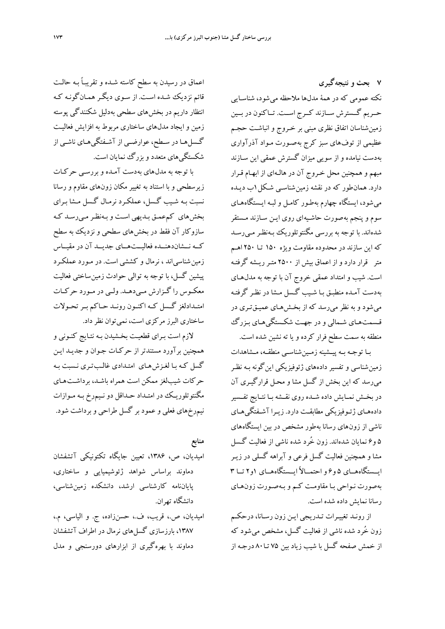**7 بحث و نتيجهگيري**  نكته عمومي كه در همة مدلها ملاحظه ميشود، شناسـايي حــريم گــسترش ســازند كــرج اســت. تــاكنون در بــين زمينشناسان اتفاق نظري مبني بر خـروج و انباشـت حجـم عظيمي از توفهاي سبز كرج بهصـورت مـواد آذرآواري بهدست نيامده و از سويي ميزان گسترش عمقي اين سـازند مبهم و همچنين محل خـروج آن در هالـه اي از ابهـام قـرار دارد. همانطور كه در نقشه زمين شناسـي شـكل1ب ديـده ميشود، ايستگاه چهارم بهطـور كامـل و لبـه ايـستگاه هـاي سوم و پنجم بهصورت حاشـيه اي روي ايـن سـازند مـستقر شدهاند. با توجه به بررسي مگنتوتلوريك بـهنظـر مـيرسـد كه اين سازند در محدوده مقاومت ويژه 150 تـا 250 اهـم متر قرار دارد و از اعماق بيش از 2500 متـرريـشه گرفتـه است. شيب و امتداد عمقي خروج آن با توجه به مدل هـاي به دست آمـده منطبـق بـا شـيب گـسل مـشا در نظـر گرفتـه ميشود و به نظر مي رسد كه از بخـشهـاي عميـقتـري در قـسمتهـاي شـمالي و در جهـت شكـستگيهـاي بـزرگ منطقه به سمت سطح فرار كرده و يا ته نشين شده است.

بـا توجـه بـه پيـشينه زمـينشناسـي منطقـه، مـشاهدات زمين شناسي و تفسير داده هاي ژئوفيزيكي اينگونه بـه نظـر ميرسد كه اين بخش از گسل مشا و محـل قرارگيـري آن در بخــش نمــايش داده شــده روي نقــشه بــا نتــايج تفــسير دادههـاي ژئـوفيزيكي مطابقـت دارد. زيـرا آشـفتگيهـاي ناشي از زون هاي رسانا بهطور مشخص در بين ايستگاه هاي 5 و6 نمايان شدهاند. زون خُرد شده ناشي از فعاليت گـسل مشا و همچنين فعاليت گسل فرعي و آبراهه گسلي در زيـر ايــستگاههــاي 5 و6 واحتمــالاً ايــستگاههــاي 1و2 تــا 3 بهصورت نـواحي بـا مقاومـت كـم و بـهصـورت زونهـاي رسانا نمايش داده شده است.

از رونـد تغييـرات تـدريجي ايـن زون رسـانا، درحكـم زون خُرد شده ناشي از فعاليت گسل، مشخص ميشود كه از خمش صفحه گسل با شيب زياد بين 75 تـا80 درجـه از

اعماق در رسيدن به سطح كاسته شـده و تقريبـاً بـه حالـت قائم نزديك شـده اسـت . از سـوي ديگـر همـانگونـه كـه انتظار داريم در بخش هاي سطحي بهدليل شكنندگي پوسته زمين وايجاد مدلهاي ساختاري مربوط به افزايش فعاليـت گـسلهـا در سـطح، عوارضـي از آشـفتگيهـاي ناشـي از شكستگيهاي متعدد و بزرگ نمايان است.

با توجه به مدل هاي بهدست آمـده و بررسـ ي حركـات زيرسطحي و با استناد به تغيير مكان زون هاي مقاوم و رسانا نسبت بـه شـ يب گـسل، عملكـرد نرمـال گـسل مـشا بـرا ي بخش هاي كمعمـق بـديهي اسـت و بـهنظـرمـيرسـد كـه سازوكار آن فقط در بخش هاي سطحي و نزديك به سطح كــه نــشاندهنــده فعاليــتهــاي جديــد آن در مقيــاس زمين شناسياند ، نرمال و كششي است. در مـورد عملكـرد پيشين گسل، با توجه به توالي حوادث زمينساختي فعاليت معكــوس را گــزارش مــيدهــد. ولــي در مــورد حركــات امتــدادلغز گــسل كــه اكنــون رونــد حــاكم بــرتحــولات ساختاري البرز مركزي است، نمي توان نظر داد.

لازم است بـراي قطعيـت بخـشيدن بـه نتـايج كنـوني و همچنين برآورد مستندتر از حركـات جـوان و جديـد ايـن گسل كـه بـا لغـزش هـاي امتـدادي غالـبتـري نـسبت بـه حركات شيبلغز ممكن است همراه باشـد، برداشـت هـاي مگنتوتلوريـك در امتـداد حـداقل دونـيمرخ بـه مـوازات نيم رخهاي فعلي وعمود بر گسل طراحي وبرداشت شود.

**منابع** 

اميديان، ص، ،1386 تعيين جايگاه تكتونيكي آتشفشان دماوند براساس شواهد ژئوشيميايي و ساختاري، پاياننامه كارشناسي ارشد، دانشكده زمينشناسي، دانشگاه تهران.

اميديان، ص،. قريب، ف،. حسنزاده، ج. و الياسي، م،. ،1387 بارزسازي گسلهاي نرمال در اطراف آتشفشان دماوند با بهرهگيري از ابزارهاي دورسنجي و مدل